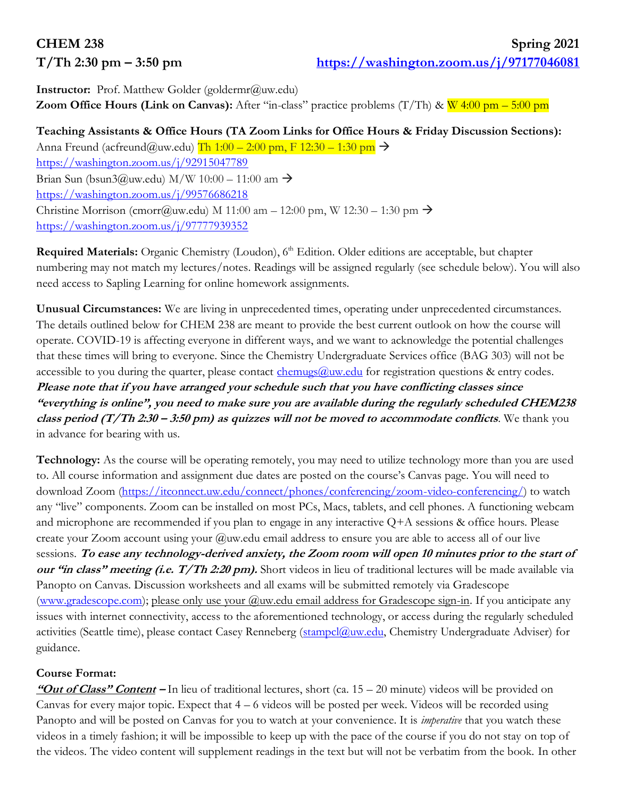**Instructor:** Prof. Matthew Golder (goldermr@uw.edu) **Zoom Office Hours (Link on Canvas):** After "in-class" practice problems  $(T/Th)$  &  $W$  4:00 pm – 5:00 pm

# **Teaching Assistants & Office Hours (TA Zoom Links for Office Hours & Friday Discussion Sections):**

Anna Freund (acfreund@uw.edu) Th  $1:00 - 2:00$  pm, F  $12:30 - 1:30$  pm  $\rightarrow$ <https://washington.zoom.us/j/92915047789> Brian Sun (bsun3@uw.edu) M/W 10:00 – 11:00 am  $\rightarrow$ <https://washington.zoom.us/j/99576686218> Christine Morrison (cmorr@uw.edu) M 11:00 am  $-$  12:00 pm, W 12:30  $-$  1:30 pm  $\rightarrow$ <https://washington.zoom.us/j/97777939352>

**Required Materials:** Organic Chemistry (Loudon), 6<sup>th</sup> Edition. Older editions are acceptable, but chapter numbering may not match my lectures/notes. Readings will be assigned regularly (see schedule below). You will also need access to Sapling Learning for online homework assignments.

**Unusual Circumstances:** We are living in unprecedented times, operating under unprecedented circumstances. The details outlined below for CHEM 238 are meant to provide the best current outlook on how the course will operate. COVID-19 is affecting everyone in different ways, and we want to acknowledge the potential challenges that these times will bring to everyone. Since the Chemistry Undergraduate Services office (BAG 303) will not be accessible to you during the quarter, please contact  $\frac{\text{chemus}(a)uw. \text{edu}}{\text{chumus}(a)}$  for registration questions & entry codes. **Please note that if you have arranged your schedule such that you have conflicting classes since "everything is online", you need to make sure you are available during the regularly scheduled CHEM238 class period (T/Th 2:30 – 3:50 pm) as quizzes will not be moved to accommodate conflicts**. We thank you in advance for bearing with us.

**Technology:** As the course will be operating remotely, you may need to utilize technology more than you are used to. All course information and assignment due dates are posted on the course's Canvas page. You will need to download Zoom [\(https://itconnect.uw.edu/connect/phones/conferencing/zoom-video-conferencing/\)](https://itconnect.uw.edu/connect/phones/conferencing/zoom-video-conferencing/) to watch any "live" components. Zoom can be installed on most PCs, Macs, tablets, and cell phones. A functioning webcam and microphone are recommended if you plan to engage in any interactive Q+A sessions & office hours. Please create your Zoom account using your  $@$ uw.edu email address to ensure you are able to access all of our live sessions. **To ease any technology-derived anxiety, the Zoom room will open 10 minutes prior to the start of our "in class" meeting (i.e. T/Th 2:20 pm).** Short videos in lieu of traditional lectures will be made available via Panopto on Canvas. Discussion worksheets and all exams will be submitted remotely via Gradescope [\(www.gradescope.com\)](http://www.gradescope.com/); please only use your @uw.edu email address for Gradescope sign-in. If you anticipate any issues with internet connectivity, access to the aforementioned technology, or access during the regularly scheduled activities (Seattle time), please contact Casey Renneberg [\(stampcl@uw.edu,](mailto:stampcl@uw.edu) Chemistry Undergraduate Adviser) for guidance.

## **Course Format:**

**"Out of Class" Content –** In lieu of traditional lectures, short (ca. 15 – 20 minute) videos will be provided on Canvas for every major topic. Expect that 4 – 6 videos will be posted per week. Videos will be recorded using Panopto and will be posted on Canvas for you to watch at your convenience. It is *imperative* that you watch these videos in a timely fashion; it will be impossible to keep up with the pace of the course if you do not stay on top of the videos. The video content will supplement readings in the text but will not be verbatim from the book. In other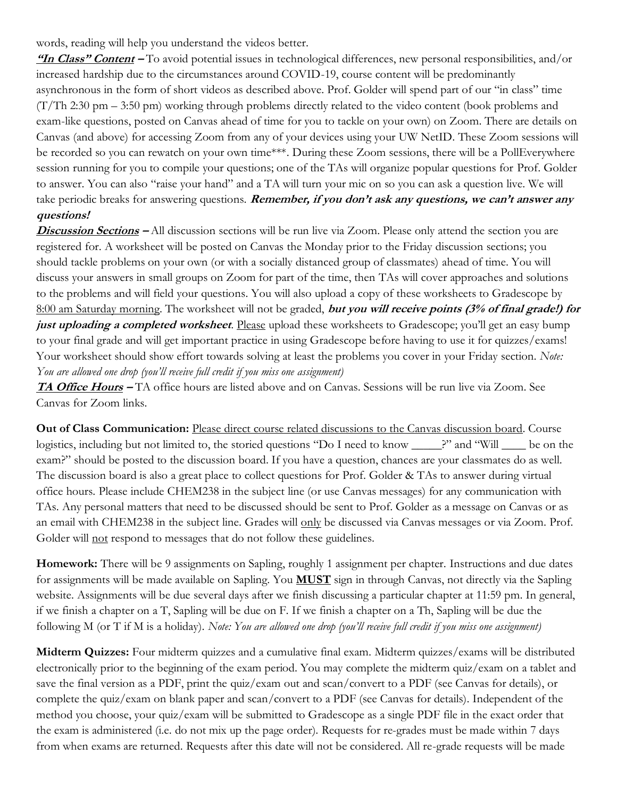words, reading will help you understand the videos better.

**"In Class" Content –** To avoid potential issues in technological differences, new personal responsibilities, and/or increased hardship due to the circumstances around COVID-19, course content will be predominantly asynchronous in the form of short videos as described above. Prof. Golder will spend part of our "in class" time (T/Th 2:30 pm – 3:50 pm) working through problems directly related to the video content (book problems and exam-like questions, posted on Canvas ahead of time for you to tackle on your own) on Zoom. There are details on Canvas (and above) for accessing Zoom from any of your devices using your UW NetID. These Zoom sessions will be recorded so you can rewatch on your own time\*\*\*. During these Zoom sessions, there will be a PollEverywhere session running for you to compile your questions; one of the TAs will organize popular questions for Prof. Golder to answer. You can also "raise your hand" and a TA will turn your mic on so you can ask a question live. We will take periodic breaks for answering questions. **Remember, if you don't ask any questions, we can't answer any questions!**

**Discussion Sections –** All discussion sections will be run live via Zoom. Please only attend the section you are registered for. A worksheet will be posted on Canvas the Monday prior to the Friday discussion sections; you should tackle problems on your own (or with a socially distanced group of classmates) ahead of time. You will discuss your answers in small groups on Zoom for part of the time, then TAs will cover approaches and solutions to the problems and will field your questions. You will also upload a copy of these worksheets to Gradescope by 8:00 am Saturday morning. The worksheet will not be graded, **but you will receive points (3% of final grade!) for just uploading a completed worksheet**. Please upload these worksheets to Gradescope; you'll get an easy bump to your final grade and will get important practice in using Gradescope before having to use it for quizzes/exams! Your worksheet should show effort towards solving at least the problems you cover in your Friday section. *Note: You are allowed one drop (you'll receive full credit if you miss one assignment)*

**TA Office Hours –** TA office hours are listed above and on Canvas. Sessions will be run live via Zoom. See Canvas for Zoom links.

**Out of Class Communication:** Please direct course related discussions to the Canvas discussion board. Course logistics, including but not limited to, the storied questions "Do I need to know \_\_\_\_\_\_?" and "Will \_\_\_\_\_ be on the exam?" should be posted to the discussion board. If you have a question, chances are your classmates do as well. The discussion board is also a great place to collect questions for Prof. Golder & TAs to answer during virtual office hours. Please include CHEM238 in the subject line (or use Canvas messages) for any communication with TAs. Any personal matters that need to be discussed should be sent to Prof. Golder as a message on Canvas or as an email with CHEM238 in the subject line. Grades will only be discussed via Canvas messages or via Zoom. Prof. Golder will not respond to messages that do not follow these guidelines.

**Homework:** There will be 9 assignments on Sapling, roughly 1 assignment per chapter. Instructions and due dates for assignments will be made available on Sapling. You **MUST** sign in through Canvas, not directly via the Sapling website. Assignments will be due several days after we finish discussing a particular chapter at 11:59 pm. In general, if we finish a chapter on a T, Sapling will be due on F. If we finish a chapter on a Th, Sapling will be due the following M (or T if M is a holiday). *Note: You are allowed one drop (you'll receive full credit if you miss one assignment)*

**Midterm Quizzes:** Four midterm quizzes and a cumulative final exam. Midterm quizzes/exams will be distributed electronically prior to the beginning of the exam period. You may complete the midterm quiz/exam on a tablet and save the final version as a PDF, print the quiz/exam out and scan/convert to a PDF (see Canvas for details), or complete the quiz/exam on blank paper and scan/convert to a PDF (see Canvas for details). Independent of the method you choose, your quiz/exam will be submitted to Gradescope as a single PDF file in the exact order that the exam is administered (i.e. do not mix up the page order). Requests for re-grades must be made within 7 days from when exams are returned. Requests after this date will not be considered. All re-grade requests will be made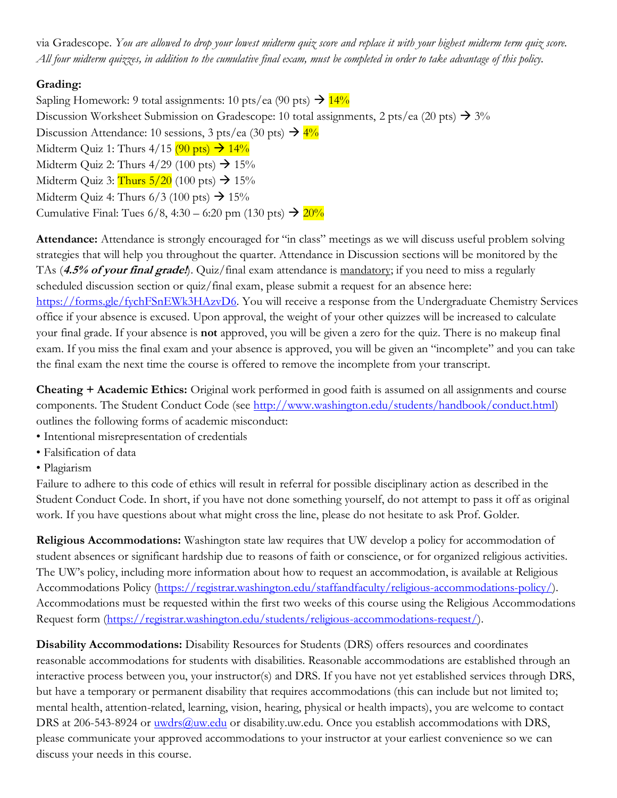via Gradescope. *You are allowed to drop your lowest midterm quiz score and replace it with your highest midterm term quiz score. All four midterm quizzes, in addition to the cumulative final exam, must be completed in order to take advantage of this policy.*

### **Grading:**

Sapling Homework: 9 total assignments: 10 pts/ea (90 pts)  $\rightarrow$  14% Discussion Worksheet Submission on Gradescope: 10 total assignments, 2 pts/ea (20 pts)  $\rightarrow$  3% Discussion Attendance: 10 sessions, 3 pts/ea (30 pts)  $\rightarrow$  4% Midterm Quiz 1: Thurs  $4/15$  (90 pts)  $\rightarrow$  14% Midterm Quiz 2: Thurs  $4/29$  (100 pts)  $\rightarrow$  15% Midterm Quiz 3: Thurs  $5/20$  (100 pts)  $\rightarrow$  15% Midterm Quiz 4: Thurs  $6/3$  (100 pts)  $\rightarrow$  15% Cumulative Final: Tues  $6/8$ , 4:30 – 6:20 pm (130 pts)  $\rightarrow$  20%

**Attendance:** Attendance is strongly encouraged for "in class" meetings as we will discuss useful problem solving strategies that will help you throughout the quarter. Attendance in Discussion sections will be monitored by the TAs (**4.5% of your final grade!**). Quiz/final exam attendance is mandatory; if you need to miss a regularly scheduled discussion section or quiz/final exam, please submit a request for an absence here: [https://forms.gle/fychFSnEWk3HAzvD6.](https://forms.gle/fychFSnEWk3HAzvD6) You will receive a response from the Undergraduate Chemistry Services office if your absence is excused. Upon approval, the weight of your other quizzes will be increased to calculate your final grade. If your absence is **not** approved, you will be given a zero for the quiz. There is no makeup final exam. If you miss the final exam and your absence is approved, you will be given an "incomplete" and you can take the final exam the next time the course is offered to remove the incomplete from your transcript.

**Cheating + Academic Ethics:** Original work performed in good faith is assumed on all assignments and course components. The Student Conduct Code (see [http://www.washington.edu/students/handbook/conduct.html\)](http://www.washington.edu/students/handbook/conduct.html) outlines the following forms of academic misconduct:

- Intentional misrepresentation of credentials
- Falsification of data
- Plagiarism

Failure to adhere to this code of ethics will result in referral for possible disciplinary action as described in the Student Conduct Code. In short, if you have not done something yourself, do not attempt to pass it off as original work. If you have questions about what might cross the line, please do not hesitate to ask Prof. Golder.

**Religious Accommodations:** Washington state law requires that UW develop a policy for accommodation of student absences or significant hardship due to reasons of faith or conscience, or for organized religious activities. The UW's policy, including more information about how to request an accommodation, is available at Religious Accommodations Policy [\(https://registrar.washington.edu/staffandfaculty/religious-accommodations-policy/\)](https://registrar.washington.edu/staffandfaculty/religious-accommodations-policy/). Accommodations must be requested within the first two weeks of this course using the Religious Accommodations Request form [\(https://registrar.washington.edu/students/religious-accommodations-request/\)](https://registrar.washington.edu/students/religious-accommodations-request/).

**Disability Accommodations:** Disability Resources for Students (DRS) offers resources and coordinates reasonable accommodations for students with disabilities. Reasonable accommodations are established through an interactive process between you, your instructor(s) and DRS. If you have not yet established services through DRS, but have a temporary or permanent disability that requires accommodations (this can include but not limited to; mental health, attention-related, learning, vision, hearing, physical or health impacts), you are welcome to contact DRS at 206-543-8924 or [uwdrs@uw.edu](mailto:uwdrs@uw.edu) or disability.uw.edu. Once you establish accommodations with DRS, please communicate your approved accommodations to your instructor at your earliest convenience so we can discuss your needs in this course.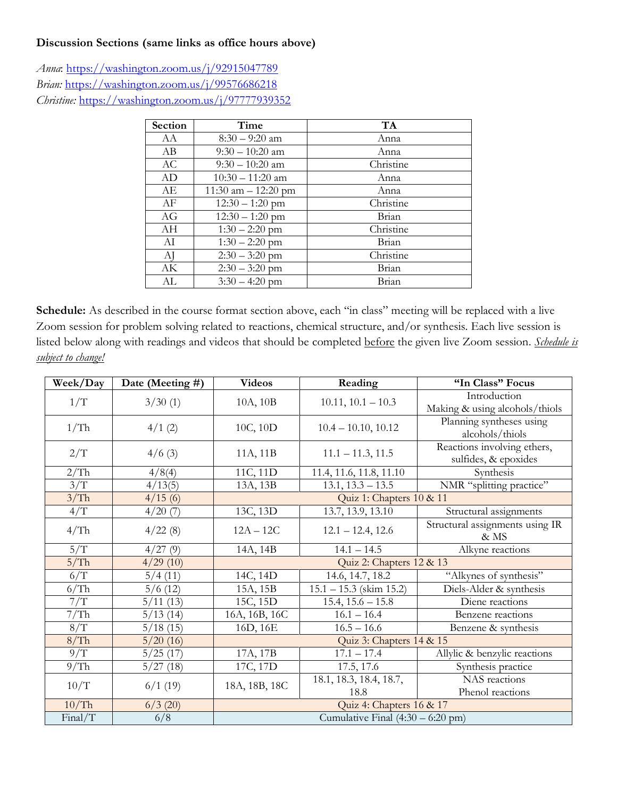#### **Discussion Sections (same links as office hours above)**

*Anna*:<https://washington.zoom.us/j/92915047789> *Brian:* <https://washington.zoom.us/j/99576686218> *Christine:* <https://washington.zoom.us/j/97777939352>

| Section | Time                  | <b>TA</b> |  |
|---------|-----------------------|-----------|--|
| AA      | $8:30 - 9:20$ am      | Anna      |  |
| АB      | $9:30 - 10:20$ am     | Anna      |  |
| AC      | $9:30 - 10:20$ am     | Christine |  |
| AD      | $10:30 - 11:20$ am    | Anna      |  |
| AE      | 11:30 am $-$ 12:20 pm | Anna      |  |
| AF      | $12:30 - 1:20$ pm     | Christine |  |
| AG      | $12:30 - 1:20$ pm     | Brian     |  |
| AН      | $1:30 - 2:20$ pm      | Christine |  |
| AI      | $1:30 - 2:20$ pm      | Brian     |  |
| AJ      | $2:30 - 3:20$ pm      | Christine |  |
| АK      | $2:30 - 3:20$ pm      | Brian     |  |
| AL      | $3:30 - 4:20$ pm      | Brian     |  |

Schedule: As described in the course format section above, each "in class" meeting will be replaced with a live Zoom session for problem solving related to reactions, chemical structure, and/or synthesis. Each live session is listed below along with readings and videos that should be completed before the given live Zoom session. *Schedule is subject to change!*

| Week/Day | Date (Meeting #) | <b>Videos</b>                               | Reading                   | "In Class" Focus                                    |
|----------|------------------|---------------------------------------------|---------------------------|-----------------------------------------------------|
| 1/T      | 3/30(1)          | 10A, 10B                                    | $10.11$ , $10.1 - 10.3$   | Introduction<br>Making & using alcohols/thiols      |
| 1/Th     | 4/1(2)           | 10C, 10D                                    | $10.4 - 10.10, 10.12$     | Planning syntheses using<br>alcohols/thiols         |
| 2/T      | 4/6(3)           | 11A, 11B                                    | $11.1 - 11.3, 11.5$       | Reactions involving ethers,<br>sulfides, & epoxides |
| 2/Th     | 4/8(4)           | 11C, 11D                                    | 11.4, 11.6, 11.8, 11.10   | Synthesis                                           |
| 3/T      | 4/13(5)          | 13A, 13B                                    | $13.1, 13.3 - 13.5$       | NMR "splitting practice"                            |
| 3/Th     | 4/15(6)          | Quiz 1: Chapters 10 & 11                    |                           |                                                     |
| 4/T      | 4/20(7)          | 13C, 13D                                    | 13.7, 13.9, 13.10         | Structural assignments                              |
| 4/Th     | 4/22(8)          | $12A - 12C$                                 | $12.1 - 12.4$ , 12.6      | Structural assignments using IR<br>& MS             |
| 5/T      | 4/27(9)          | 14A, 14B                                    | $14.1 - 14.5$             | Alkyne reactions                                    |
| 5/Th     | 4/29(10)         | Quiz 2: Chapters 12 & 13                    |                           |                                                     |
| 6/T      | 5/4(11)          | 14C, 14D                                    | 14.6, 14.7, 18.2          | "Alkynes of synthesis"                              |
| 6/Th     | 5/6(12)          | 15A, 15B                                    | $15.1 - 15.3$ (skim 15.2) | Diels-Alder & synthesis                             |
| 7/T      | 5/11(13)         | 15C, 15D                                    | $15.4, 15.6 - 15.8$       | Diene reactions                                     |
| 7/Th     | 5/13(14)         | 16A, 16B, 16C                               | $16.1 - 16.4$             | Benzene reactions                                   |
| 8/T      | 5/18(15)         | 16D, 16E                                    | $16.5 - 16.6$             | Benzene & synthesis                                 |
| 8/Th     | 5/20(16)         | Quiz 3: Chapters 14 & 15                    |                           |                                                     |
| 9/T      | 5/25(17)         | 17A, 17B                                    | $17.1 - 17.4$             | Allylic & benzylic reactions                        |
| 9/Th     | 5/27(18)         | 17C, 17D                                    | 17.5, 17.6                | Synthesis practice                                  |
| 10/T     | 6/1(19)          | 18A, 18B, 18C                               | 18.1, 18.3, 18.4, 18.7,   | NAS reactions                                       |
|          |                  |                                             | 18.8                      | Phenol reactions                                    |
| 10/Th    | $6/3$ (20)       | Quiz 4: Chapters 16 & 17                    |                           |                                                     |
| Final/T  | 6/8              | Cumulative Final $(4:30 - 6:20 \text{ pm})$ |                           |                                                     |